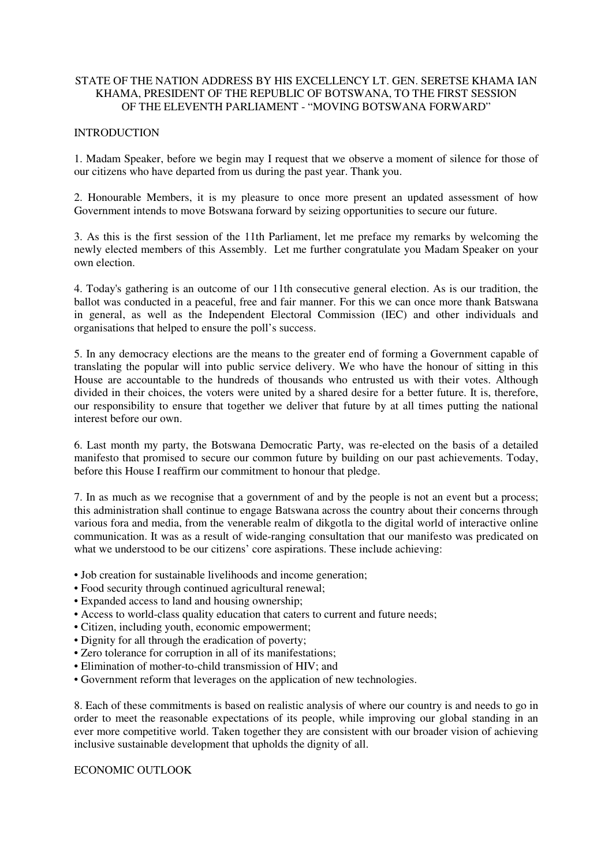## STATE OF THE NATION ADDRESS BY HIS EXCELLENCY LT. GEN. SERETSE KHAMA IAN KHAMA, PRESIDENT OF THE REPUBLIC OF BOTSWANA, TO THE FIRST SESSION OF THE ELEVENTH PARLIAMENT - "MOVING BOTSWANA FORWARD"

# **INTRODUCTION**

1. Madam Speaker, before we begin may I request that we observe a moment of silence for those of our citizens who have departed from us during the past year. Thank you.

2. Honourable Members, it is my pleasure to once more present an updated assessment of how Government intends to move Botswana forward by seizing opportunities to secure our future.

3. As this is the first session of the 11th Parliament, let me preface my remarks by welcoming the newly elected members of this Assembly. Let me further congratulate you Madam Speaker on your own election.

4. Today's gathering is an outcome of our 11th consecutive general election. As is our tradition, the ballot was conducted in a peaceful, free and fair manner. For this we can once more thank Batswana in general, as well as the Independent Electoral Commission (IEC) and other individuals and organisations that helped to ensure the poll's success.

5. In any democracy elections are the means to the greater end of forming a Government capable of translating the popular will into public service delivery. We who have the honour of sitting in this House are accountable to the hundreds of thousands who entrusted us with their votes. Although divided in their choices, the voters were united by a shared desire for a better future. It is, therefore, our responsibility to ensure that together we deliver that future by at all times putting the national interest before our own.

6. Last month my party, the Botswana Democratic Party, was re‐elected on the basis of a detailed manifesto that promised to secure our common future by building on our past achievements. Today, before this House I reaffirm our commitment to honour that pledge.

7. In as much as we recognise that a government of and by the people is not an event but a process; this administration shall continue to engage Batswana across the country about their concerns through various fora and media, from the venerable realm of dikgotla to the digital world of interactive online communication. It was as a result of wide-ranging consultation that our manifesto was predicated on what we understood to be our citizens' core aspirations. These include achieving:

- Job creation for sustainable livelihoods and income generation;
- Food security through continued agricultural renewal;
- Expanded access to land and housing ownership;
- Access to world-class quality education that caters to current and future needs:
- Citizen, including youth, economic empowerment;
- Dignity for all through the eradication of poverty;
- Zero tolerance for corruption in all of its manifestations;
- Elimination of mother-to-child transmission of HIV; and
- Government reform that leverages on the application of new technologies.

8. Each of these commitments is based on realistic analysis of where our country is and needs to go in order to meet the reasonable expectations of its people, while improving our global standing in an ever more competitive world. Taken together they are consistent with our broader vision of achieving inclusive sustainable development that upholds the dignity of all.

## ECONOMIC OUTLOOK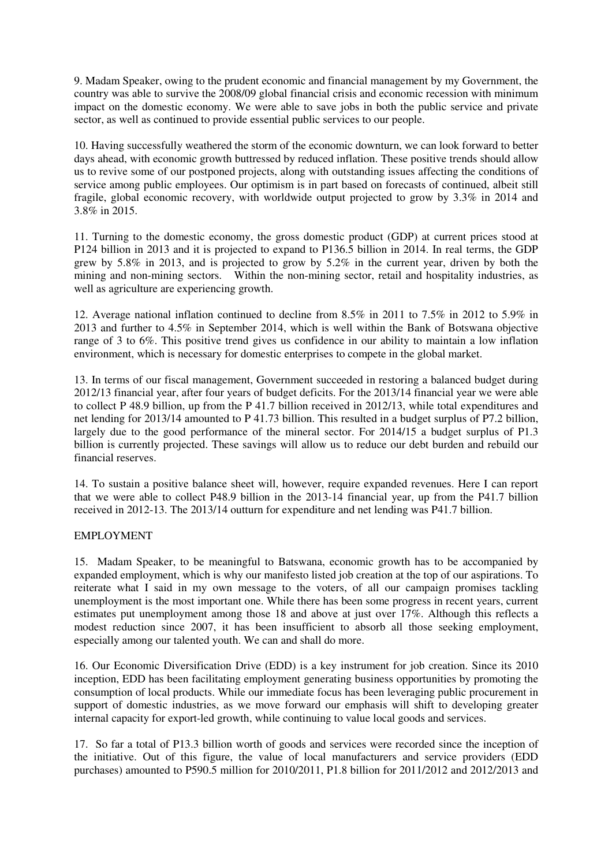9. Madam Speaker, owing to the prudent economic and financial management by my Government, the country was able to survive the 2008/09 global financial crisis and economic recession with minimum impact on the domestic economy. We were able to save jobs in both the public service and private sector, as well as continued to provide essential public services to our people.

10. Having successfully weathered the storm of the economic downturn, we can look forward to better days ahead, with economic growth buttressed by reduced inflation. These positive trends should allow us to revive some of our postponed projects, along with outstanding issues affecting the conditions of service among public employees. Our optimism is in part based on forecasts of continued, albeit still fragile, global economic recovery, with worldwide output projected to grow by 3.3% in 2014 and 3.8% in 2015.

11. Turning to the domestic economy, the gross domestic product (GDP) at current prices stood at P124 billion in 2013 and it is projected to expand to P136.5 billion in 2014. In real terms, the GDP grew by 5.8% in 2013, and is projected to grow by 5.2% in the current year, driven by both the mining and non-mining sectors. Within the non-mining sector, retail and hospitality industries, as well as agriculture are experiencing growth.

12. Average national inflation continued to decline from 8.5% in 2011 to 7.5% in 2012 to 5.9% in 2013 and further to 4.5% in September 2014, which is well within the Bank of Botswana objective range of 3 to 6%. This positive trend gives us confidence in our ability to maintain a low inflation environment, which is necessary for domestic enterprises to compete in the global market.

13. In terms of our fiscal management, Government succeeded in restoring a balanced budget during 2012/13 financial year, after four years of budget deficits. For the 2013/14 financial year we were able to collect P 48.9 billion, up from the P 41.7 billion received in 2012/13, while total expenditures and net lending for 2013/14 amounted to P 41.73 billion. This resulted in a budget surplus of P7.2 billion, largely due to the good performance of the mineral sector. For 2014/15 a budget surplus of P1.3 billion is currently projected. These savings will allow us to reduce our debt burden and rebuild our financial reserves.

14. To sustain a positive balance sheet will, however, require expanded revenues. Here I can report that we were able to collect P48.9 billion in the 2013-14 financial year, up from the P41.7 billion received in 2012-13. The 2013/14 outturn for expenditure and net lending was P41.7 billion.

### EMPLOYMENT

15. Madam Speaker, to be meaningful to Batswana, economic growth has to be accompanied by expanded employment, which is why our manifesto listed job creation at the top of our aspirations. To reiterate what I said in my own message to the voters, of all our campaign promises tackling unemployment is the most important one. While there has been some progress in recent years, current estimates put unemployment among those 18 and above at just over 17%. Although this reflects a modest reduction since 2007, it has been insufficient to absorb all those seeking employment, especially among our talented youth. We can and shall do more.

16. Our Economic Diversification Drive (EDD) is a key instrument for job creation. Since its 2010 inception, EDD has been facilitating employment generating business opportunities by promoting the consumption of local products. While our immediate focus has been leveraging public procurement in support of domestic industries, as we move forward our emphasis will shift to developing greater internal capacity for export-led growth, while continuing to value local goods and services.

17. So far a total of P13.3 billion worth of goods and services were recorded since the inception of the initiative. Out of this figure, the value of local manufacturers and service providers (EDD purchases) amounted to P590.5 million for 2010/2011, P1.8 billion for 2011/2012 and 2012/2013 and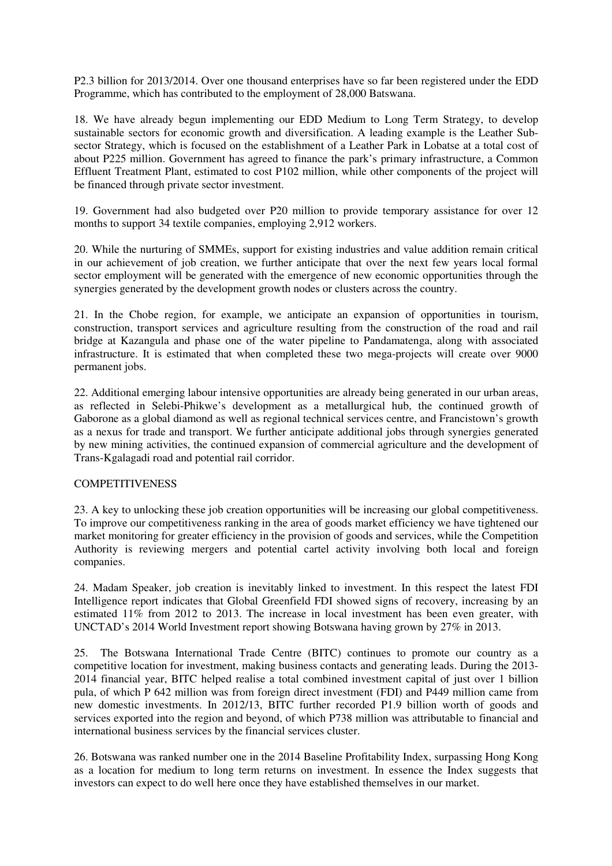P2.3 billion for 2013/2014. Over one thousand enterprises have so far been registered under the EDD Programme, which has contributed to the employment of 28,000 Batswana.

18. We have already begun implementing our EDD Medium to Long Term Strategy, to develop sustainable sectors for economic growth and diversification. A leading example is the Leather Subsector Strategy, which is focused on the establishment of a Leather Park in Lobatse at a total cost of about P225 million. Government has agreed to finance the park's primary infrastructure, a Common Effluent Treatment Plant, estimated to cost P102 million, while other components of the project will be financed through private sector investment.

19. Government had also budgeted over P20 million to provide temporary assistance for over 12 months to support 34 textile companies, employing 2,912 workers.

20. While the nurturing of SMMEs, support for existing industries and value addition remain critical in our achievement of job creation, we further anticipate that over the next few years local formal sector employment will be generated with the emergence of new economic opportunities through the synergies generated by the development growth nodes or clusters across the country.

21. In the Chobe region, for example, we anticipate an expansion of opportunities in tourism, construction, transport services and agriculture resulting from the construction of the road and rail bridge at Kazangula and phase one of the water pipeline to Pandamatenga, along with associated infrastructure. It is estimated that when completed these two mega-projects will create over 9000 permanent jobs.

22. Additional emerging labour intensive opportunities are already being generated in our urban areas, as reflected in Selebi-Phikwe's development as a metallurgical hub, the continued growth of Gaborone as a global diamond as well as regional technical services centre, and Francistown's growth as a nexus for trade and transport. We further anticipate additional jobs through synergies generated by new mining activities, the continued expansion of commercial agriculture and the development of Trans-Kgalagadi road and potential rail corridor.

### **COMPETITIVENESS**

23. A key to unlocking these job creation opportunities will be increasing our global competitiveness. To improve our competitiveness ranking in the area of goods market efficiency we have tightened our market monitoring for greater efficiency in the provision of goods and services, while the Competition Authority is reviewing mergers and potential cartel activity involving both local and foreign companies.

24. Madam Speaker, job creation is inevitably linked to investment. In this respect the latest FDI Intelligence report indicates that Global Greenfield FDI showed signs of recovery, increasing by an estimated  $11\%$  from 2012 to 2013. The increase in local investment has been even greater, with UNCTAD's 2014 World Investment report showing Botswana having grown by 27% in 2013.

25. The Botswana International Trade Centre (BITC) continues to promote our country as a competitive location for investment, making business contacts and generating leads. During the 2013- 2014 financial year, BITC helped realise a total combined investment capital of just over 1 billion pula, of which P 642 million was from foreign direct investment (FDI) and P449 million came from new domestic investments. In 2012/13, BITC further recorded P1.9 billion worth of goods and services exported into the region and beyond, of which P738 million was attributable to financial and international business services by the financial services cluster.

26. Botswana was ranked number one in the 2014 Baseline Profitability Index, surpassing Hong Kong as a location for medium to long term returns on investment. In essence the Index suggests that investors can expect to do well here once they have established themselves in our market.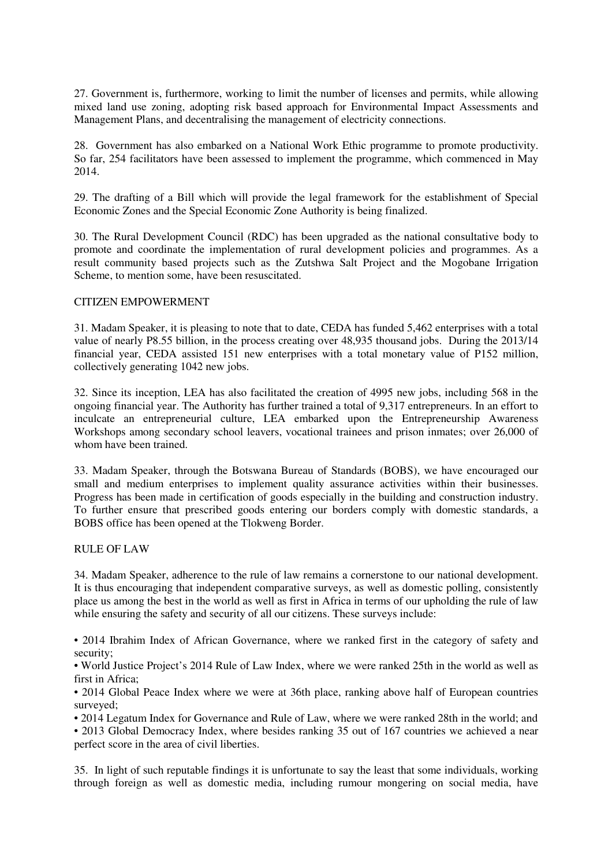27. Government is, furthermore, working to limit the number of licenses and permits, while allowing mixed land use zoning, adopting risk based approach for Environmental Impact Assessments and Management Plans, and decentralising the management of electricity connections.

28. Government has also embarked on a National Work Ethic programme to promote productivity. So far, 254 facilitators have been assessed to implement the programme, which commenced in May 2014.

29. The drafting of a Bill which will provide the legal framework for the establishment of Special Economic Zones and the Special Economic Zone Authority is being finalized.

30. The Rural Development Council (RDC) has been upgraded as the national consultative body to promote and coordinate the implementation of rural development policies and programmes. As a result community based projects such as the Zutshwa Salt Project and the Mogobane Irrigation Scheme, to mention some, have been resuscitated.

### CITIZEN EMPOWERMENT

31. Madam Speaker, it is pleasing to note that to date, CEDA has funded 5,462 enterprises with a total value of nearly P8.55 billion, in the process creating over 48,935 thousand jobs. During the 2013/14 financial year, CEDA assisted 151 new enterprises with a total monetary value of P152 million, collectively generating 1042 new jobs.

32. Since its inception, LEA has also facilitated the creation of 4995 new jobs, including 568 in the ongoing financial year. The Authority has further trained a total of 9,317 entrepreneurs. In an effort to inculcate an entrepreneurial culture, LEA embarked upon the Entrepreneurship Awareness Workshops among secondary school leavers, vocational trainees and prison inmates; over 26,000 of whom have been trained.

33. Madam Speaker, through the Botswana Bureau of Standards (BOBS), we have encouraged our small and medium enterprises to implement quality assurance activities within their businesses. Progress has been made in certification of goods especially in the building and construction industry. To further ensure that prescribed goods entering our borders comply with domestic standards, a BOBS office has been opened at the Tlokweng Border.

#### RULE OF LAW

34. Madam Speaker, adherence to the rule of law remains a cornerstone to our national development. It is thus encouraging that independent comparative surveys, as well as domestic polling, consistently place us among the best in the world as well as first in Africa in terms of our upholding the rule of law while ensuring the safety and security of all our citizens. These surveys include:

• 2014 Ibrahim Index of African Governance, where we ranked first in the category of safety and security;

• World Justice Project's 2014 Rule of Law Index, where we were ranked 25th in the world as well as first in Africa;

• 2014 Global Peace Index where we were at 36th place, ranking above half of European countries surveyed:

• 2014 Legatum Index for Governance and Rule of Law, where we were ranked 28th in the world; and • 2013 Global Democracy Index, where besides ranking 35 out of 167 countries we achieved a near perfect score in the area of civil liberties.

35. In light of such reputable findings it is unfortunate to say the least that some individuals, working through foreign as well as domestic media, including rumour mongering on social media, have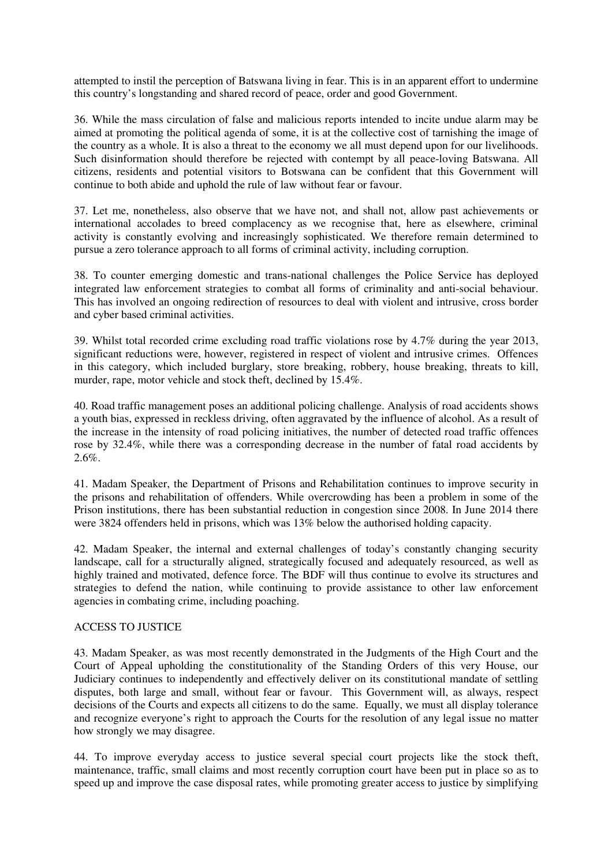attempted to instil the perception of Batswana living in fear. This is in an apparent effort to undermine this country's longstanding and shared record of peace, order and good Government.

36. While the mass circulation of false and malicious reports intended to incite undue alarm may be aimed at promoting the political agenda of some, it is at the collective cost of tarnishing the image of the country as a whole. It is also a threat to the economy we all must depend upon for our livelihoods. Such disinformation should therefore be rejected with contempt by all peace-loving Batswana. All citizens, residents and potential visitors to Botswana can be confident that this Government will continue to both abide and uphold the rule of law without fear or favour.

37. Let me, nonetheless, also observe that we have not, and shall not, allow past achievements or international accolades to breed complacency as we recognise that, here as elsewhere, criminal activity is constantly evolving and increasingly sophisticated. We therefore remain determined to pursue a zero tolerance approach to all forms of criminal activity, including corruption.

38. To counter emerging domestic and trans-national challenges the Police Service has deployed integrated law enforcement strategies to combat all forms of criminality and anti-social behaviour. This has involved an ongoing redirection of resources to deal with violent and intrusive, cross border and cyber based criminal activities.

39. Whilst total recorded crime excluding road traffic violations rose by 4.7% during the year 2013, significant reductions were, however, registered in respect of violent and intrusive crimes. Offences in this category, which included burglary, store breaking, robbery, house breaking, threats to kill, murder, rape, motor vehicle and stock theft, declined by 15.4%.

40. Road traffic management poses an additional policing challenge. Analysis of road accidents shows a youth bias, expressed in reckless driving, often aggravated by the influence of alcohol. As a result of the increase in the intensity of road policing initiatives, the number of detected road traffic offences rose by 32.4%, while there was a corresponding decrease in the number of fatal road accidents by 2.6%.

41. Madam Speaker, the Department of Prisons and Rehabilitation continues to improve security in the prisons and rehabilitation of offenders. While overcrowding has been a problem in some of the Prison institutions, there has been substantial reduction in congestion since 2008. In June 2014 there were 3824 offenders held in prisons, which was 13% below the authorised holding capacity.

42. Madam Speaker, the internal and external challenges of today's constantly changing security landscape, call for a structurally aligned, strategically focused and adequately resourced, as well as highly trained and motivated, defence force. The BDF will thus continue to evolve its structures and strategies to defend the nation, while continuing to provide assistance to other law enforcement agencies in combating crime, including poaching.

### ACCESS TO JUSTICE

43. Madam Speaker, as was most recently demonstrated in the Judgments of the High Court and the Court of Appeal upholding the constitutionality of the Standing Orders of this very House, our Judiciary continues to independently and effectively deliver on its constitutional mandate of settling disputes, both large and small, without fear or favour. This Government will, as always, respect decisions of the Courts and expects all citizens to do the same. Equally, we must all display tolerance and recognize everyone's right to approach the Courts for the resolution of any legal issue no matter how strongly we may disagree.

44. To improve everyday access to justice several special court projects like the stock theft, maintenance, traffic, small claims and most recently corruption court have been put in place so as to speed up and improve the case disposal rates, while promoting greater access to justice by simplifying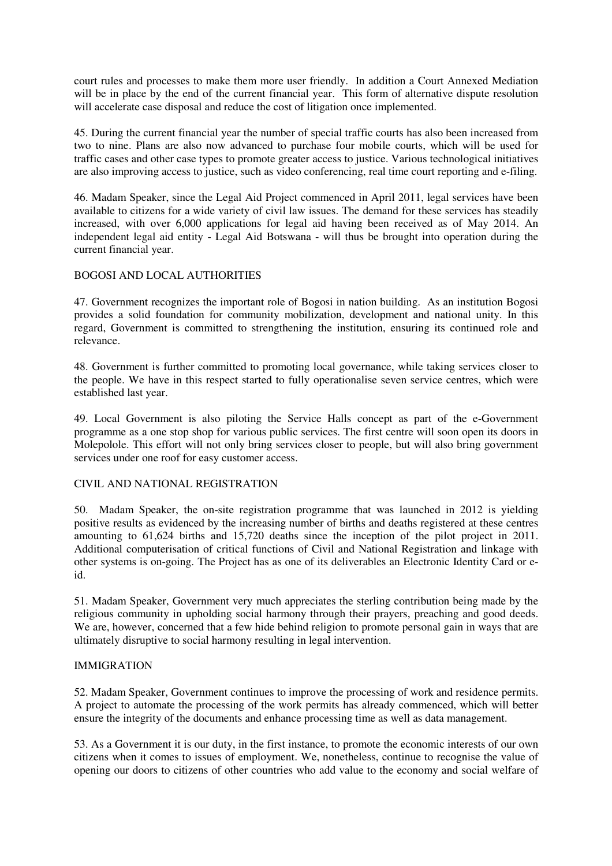court rules and processes to make them more user friendly. In addition a Court Annexed Mediation will be in place by the end of the current financial year. This form of alternative dispute resolution will accelerate case disposal and reduce the cost of litigation once implemented.

45. During the current financial year the number of special traffic courts has also been increased from two to nine. Plans are also now advanced to purchase four mobile courts, which will be used for traffic cases and other case types to promote greater access to justice. Various technological initiatives are also improving access to justice, such as video conferencing, real time court reporting and e-filing.

46. Madam Speaker, since the Legal Aid Project commenced in April 2011, legal services have been available to citizens for a wide variety of civil law issues. The demand for these services has steadily increased, with over 6,000 applications for legal aid having been received as of May 2014. An independent legal aid entity - Legal Aid Botswana - will thus be brought into operation during the current financial year.

## BOGOSI AND LOCAL AUTHORITIES

47. Government recognizes the important role of Bogosi in nation building. As an institution Bogosi provides a solid foundation for community mobilization, development and national unity. In this regard, Government is committed to strengthening the institution, ensuring its continued role and relevance.

48. Government is further committed to promoting local governance, while taking services closer to the people. We have in this respect started to fully operationalise seven service centres, which were established last year.

49. Local Government is also piloting the Service Halls concept as part of the e-Government programme as a one stop shop for various public services. The first centre will soon open its doors in Molepolole. This effort will not only bring services closer to people, but will also bring government services under one roof for easy customer access.

### CIVIL AND NATIONAL REGISTRATION

50. Madam Speaker, the on-site registration programme that was launched in 2012 is yielding positive results as evidenced by the increasing number of births and deaths registered at these centres amounting to 61,624 births and 15,720 deaths since the inception of the pilot project in 2011. Additional computerisation of critical functions of Civil and National Registration and linkage with other systems is on-going. The Project has as one of its deliverables an Electronic Identity Card or eid.

51. Madam Speaker, Government very much appreciates the sterling contribution being made by the religious community in upholding social harmony through their prayers, preaching and good deeds. We are, however, concerned that a few hide behind religion to promote personal gain in ways that are ultimately disruptive to social harmony resulting in legal intervention.

### IMMIGRATION

52. Madam Speaker, Government continues to improve the processing of work and residence permits. A project to automate the processing of the work permits has already commenced, which will better ensure the integrity of the documents and enhance processing time as well as data management.

53. As a Government it is our duty, in the first instance, to promote the economic interests of our own citizens when it comes to issues of employment. We, nonetheless, continue to recognise the value of opening our doors to citizens of other countries who add value to the economy and social welfare of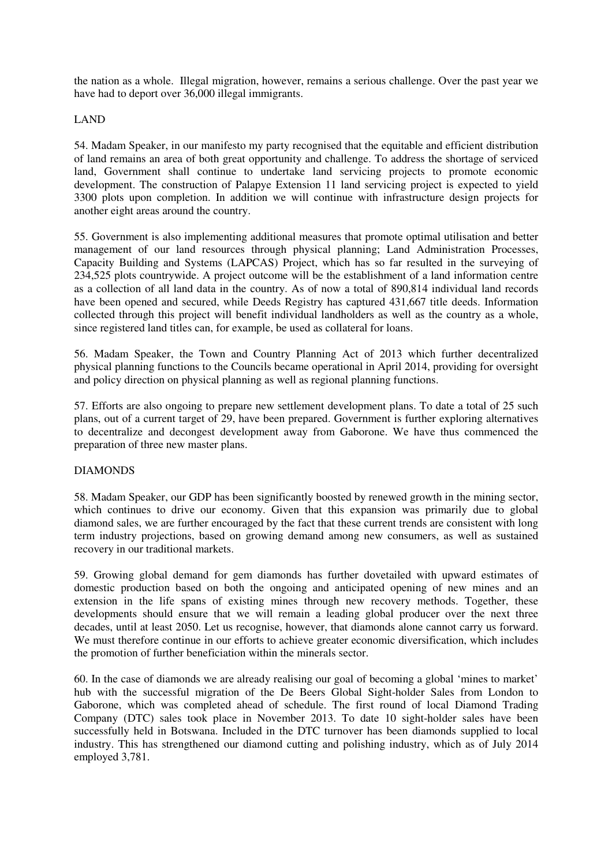the nation as a whole. Illegal migration, however, remains a serious challenge. Over the past year we have had to deport over 36,000 illegal immigrants.

### LAND

54. Madam Speaker, in our manifesto my party recognised that the equitable and efficient distribution of land remains an area of both great opportunity and challenge. To address the shortage of serviced land, Government shall continue to undertake land servicing projects to promote economic development. The construction of Palapye Extension 11 land servicing project is expected to yield 3300 plots upon completion. In addition we will continue with infrastructure design projects for another eight areas around the country.

55. Government is also implementing additional measures that promote optimal utilisation and better management of our land resources through physical planning; Land Administration Processes, Capacity Building and Systems (LAPCAS) Project, which has so far resulted in the surveying of 234,525 plots countrywide. A project outcome will be the establishment of a land information centre as a collection of all land data in the country. As of now a total of 890,814 individual land records have been opened and secured, while Deeds Registry has captured 431,667 title deeds. Information collected through this project will benefit individual landholders as well as the country as a whole, since registered land titles can, for example, be used as collateral for loans.

56. Madam Speaker, the Town and Country Planning Act of 2013 which further decentralized physical planning functions to the Councils became operational in April 2014, providing for oversight and policy direction on physical planning as well as regional planning functions.

57. Efforts are also ongoing to prepare new settlement development plans. To date a total of 25 such plans, out of a current target of 29, have been prepared. Government is further exploring alternatives to decentralize and decongest development away from Gaborone. We have thus commenced the preparation of three new master plans.

### DIAMONDS

58. Madam Speaker, our GDP has been significantly boosted by renewed growth in the mining sector, which continues to drive our economy. Given that this expansion was primarily due to global diamond sales, we are further encouraged by the fact that these current trends are consistent with long term industry projections, based on growing demand among new consumers, as well as sustained recovery in our traditional markets.

59. Growing global demand for gem diamonds has further dovetailed with upward estimates of domestic production based on both the ongoing and anticipated opening of new mines and an extension in the life spans of existing mines through new recovery methods. Together, these developments should ensure that we will remain a leading global producer over the next three decades, until at least 2050. Let us recognise, however, that diamonds alone cannot carry us forward. We must therefore continue in our efforts to achieve greater economic diversification, which includes the promotion of further beneficiation within the minerals sector.

60. In the case of diamonds we are already realising our goal of becoming a global 'mines to market' hub with the successful migration of the De Beers Global Sight-holder Sales from London to Gaborone, which was completed ahead of schedule. The first round of local Diamond Trading Company (DTC) sales took place in November 2013. To date 10 sight-holder sales have been successfully held in Botswana. Included in the DTC turnover has been diamonds supplied to local industry. This has strengthened our diamond cutting and polishing industry, which as of July 2014 employed 3,781.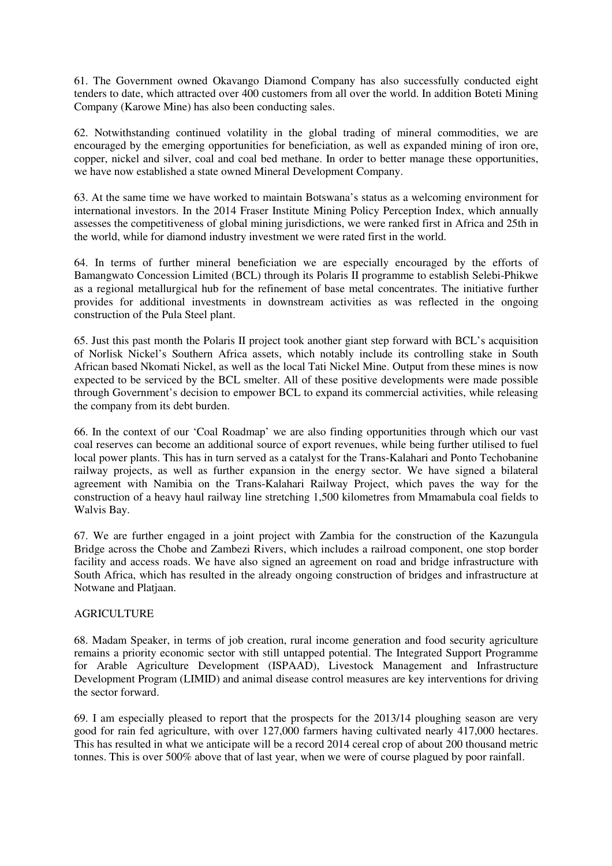61. The Government owned Okavango Diamond Company has also successfully conducted eight tenders to date, which attracted over 400 customers from all over the world. In addition Boteti Mining Company (Karowe Mine) has also been conducting sales.

62. Notwithstanding continued volatility in the global trading of mineral commodities, we are encouraged by the emerging opportunities for beneficiation, as well as expanded mining of iron ore, copper, nickel and silver, coal and coal bed methane. In order to better manage these opportunities, we have now established a state owned Mineral Development Company.

63. At the same time we have worked to maintain Botswana's status as a welcoming environment for international investors. In the 2014 Fraser Institute Mining Policy Perception Index, which annually assesses the competitiveness of global mining jurisdictions, we were ranked first in Africa and 25th in the world, while for diamond industry investment we were rated first in the world.

64. In terms of further mineral beneficiation we are especially encouraged by the efforts of Bamangwato Concession Limited (BCL) through its Polaris II programme to establish Selebi-Phikwe as a regional metallurgical hub for the refinement of base metal concentrates. The initiative further provides for additional investments in downstream activities as was reflected in the ongoing construction of the Pula Steel plant.

65. Just this past month the Polaris II project took another giant step forward with BCL's acquisition of Norlisk Nickel's Southern Africa assets, which notably include its controlling stake in South African based Nkomati Nickel, as well as the local Tati Nickel Mine. Output from these mines is now expected to be serviced by the BCL smelter. All of these positive developments were made possible through Government's decision to empower BCL to expand its commercial activities, while releasing the company from its debt burden.

66. In the context of our 'Coal Roadmap' we are also finding opportunities through which our vast coal reserves can become an additional source of export revenues, while being further utilised to fuel local power plants. This has in turn served as a catalyst for the Trans-Kalahari and Ponto Techobanine railway projects, as well as further expansion in the energy sector. We have signed a bilateral agreement with Namibia on the Trans-Kalahari Railway Project, which paves the way for the construction of a heavy haul railway line stretching 1,500 kilometres from Mmamabula coal fields to Walvis Bay.

67. We are further engaged in a joint project with Zambia for the construction of the Kazungula Bridge across the Chobe and Zambezi Rivers, which includes a railroad component, one stop border facility and access roads. We have also signed an agreement on road and bridge infrastructure with South Africa, which has resulted in the already ongoing construction of bridges and infrastructure at Notwane and Platjaan.

### AGRICULTURE

68. Madam Speaker, in terms of job creation, rural income generation and food security agriculture remains a priority economic sector with still untapped potential. The Integrated Support Programme for Arable Agriculture Development (ISPAAD), Livestock Management and Infrastructure Development Program (LIMID) and animal disease control measures are key interventions for driving the sector forward.

69. I am especially pleased to report that the prospects for the 2013/14 ploughing season are very good for rain fed agriculture, with over 127,000 farmers having cultivated nearly 417,000 hectares. This has resulted in what we anticipate will be a record 2014 cereal crop of about 200 thousand metric tonnes. This is over 500% above that of last year, when we were of course plagued by poor rainfall.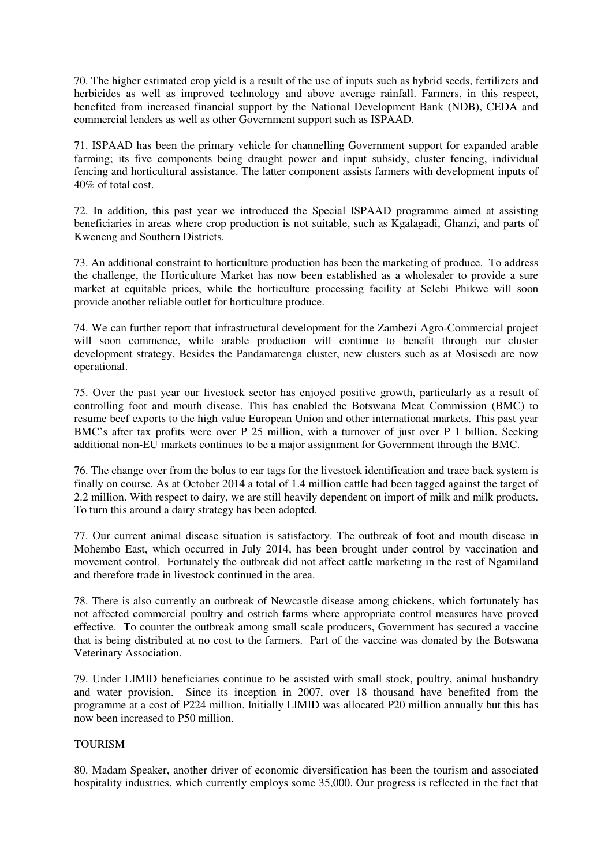70. The higher estimated crop yield is a result of the use of inputs such as hybrid seeds, fertilizers and herbicides as well as improved technology and above average rainfall. Farmers, in this respect, benefited from increased financial support by the National Development Bank (NDB), CEDA and commercial lenders as well as other Government support such as ISPAAD.

71. ISPAAD has been the primary vehicle for channelling Government support for expanded arable farming; its five components being draught power and input subsidy, cluster fencing, individual fencing and horticultural assistance. The latter component assists farmers with development inputs of 40% of total cost.

72. In addition, this past year we introduced the Special ISPAAD programme aimed at assisting beneficiaries in areas where crop production is not suitable, such as Kgalagadi, Ghanzi, and parts of Kweneng and Southern Districts.

73. An additional constraint to horticulture production has been the marketing of produce. To address the challenge, the Horticulture Market has now been established as a wholesaler to provide a sure market at equitable prices, while the horticulture processing facility at Selebi Phikwe will soon provide another reliable outlet for horticulture produce.

74. We can further report that infrastructural development for the Zambezi Agro-Commercial project will soon commence, while arable production will continue to benefit through our cluster development strategy. Besides the Pandamatenga cluster, new clusters such as at Mosisedi are now operational.

75. Over the past year our livestock sector has enjoyed positive growth, particularly as a result of controlling foot and mouth disease. This has enabled the Botswana Meat Commission (BMC) to resume beef exports to the high value European Union and other international markets. This past year BMC's after tax profits were over P 25 million, with a turnover of just over P 1 billion. Seeking additional non-EU markets continues to be a major assignment for Government through the BMC.

76. The change over from the bolus to ear tags for the livestock identification and trace back system is finally on course. As at October 2014 a total of 1.4 million cattle had been tagged against the target of 2.2 million. With respect to dairy, we are still heavily dependent on import of milk and milk products. To turn this around a dairy strategy has been adopted.

77. Our current animal disease situation is satisfactory. The outbreak of foot and mouth disease in Mohembo East, which occurred in July 2014, has been brought under control by vaccination and movement control. Fortunately the outbreak did not affect cattle marketing in the rest of Ngamiland and therefore trade in livestock continued in the area.

78. There is also currently an outbreak of Newcastle disease among chickens, which fortunately has not affected commercial poultry and ostrich farms where appropriate control measures have proved effective. To counter the outbreak among small scale producers, Government has secured a vaccine that is being distributed at no cost to the farmers. Part of the vaccine was donated by the Botswana Veterinary Association.

79. Under LIMID beneficiaries continue to be assisted with small stock, poultry, animal husbandry and water provision. Since its inception in 2007, over 18 thousand have benefited from the programme at a cost of P224 million. Initially LIMID was allocated P20 million annually but this has now been increased to P50 million.

### TOURISM

80. Madam Speaker, another driver of economic diversification has been the tourism and associated hospitality industries, which currently employs some 35,000. Our progress is reflected in the fact that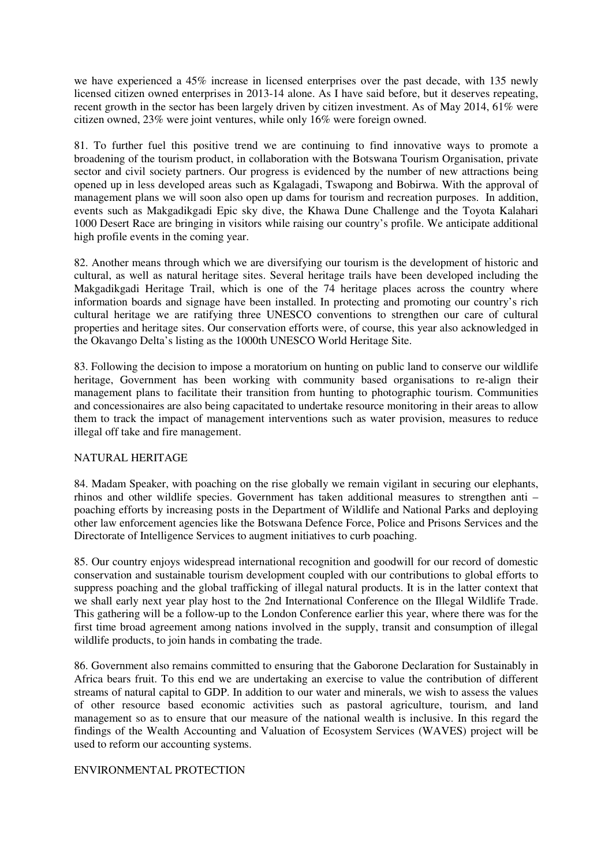we have experienced a 45% increase in licensed enterprises over the past decade, with 135 newly licensed citizen owned enterprises in 2013-14 alone. As I have said before, but it deserves repeating, recent growth in the sector has been largely driven by citizen investment. As of May 2014, 61% were citizen owned, 23% were joint ventures, while only 16% were foreign owned.

81. To further fuel this positive trend we are continuing to find innovative ways to promote a broadening of the tourism product, in collaboration with the Botswana Tourism Organisation, private sector and civil society partners. Our progress is evidenced by the number of new attractions being opened up in less developed areas such as Kgalagadi, Tswapong and Bobirwa. With the approval of management plans we will soon also open up dams for tourism and recreation purposes. In addition, events such as Makgadikgadi Epic sky dive, the Khawa Dune Challenge and the Toyota Kalahari 1000 Desert Race are bringing in visitors while raising our country's profile. We anticipate additional high profile events in the coming year.

82. Another means through which we are diversifying our tourism is the development of historic and cultural, as well as natural heritage sites. Several heritage trails have been developed including the Makgadikgadi Heritage Trail, which is one of the 74 heritage places across the country where information boards and signage have been installed. In protecting and promoting our country's rich cultural heritage we are ratifying three UNESCO conventions to strengthen our care of cultural properties and heritage sites. Our conservation efforts were, of course, this year also acknowledged in the Okavango Delta's listing as the 1000th UNESCO World Heritage Site.

83. Following the decision to impose a moratorium on hunting on public land to conserve our wildlife heritage, Government has been working with community based organisations to re-align their management plans to facilitate their transition from hunting to photographic tourism. Communities and concessionaires are also being capacitated to undertake resource monitoring in their areas to allow them to track the impact of management interventions such as water provision, measures to reduce illegal off take and fire management.

### NATURAL HERITAGE

84. Madam Speaker, with poaching on the rise globally we remain vigilant in securing our elephants, rhinos and other wildlife species. Government has taken additional measures to strengthen anti – poaching efforts by increasing posts in the Department of Wildlife and National Parks and deploying other law enforcement agencies like the Botswana Defence Force, Police and Prisons Services and the Directorate of Intelligence Services to augment initiatives to curb poaching.

85. Our country enjoys widespread international recognition and goodwill for our record of domestic conservation and sustainable tourism development coupled with our contributions to global efforts to suppress poaching and the global trafficking of illegal natural products. It is in the latter context that we shall early next year play host to the 2nd International Conference on the Illegal Wildlife Trade. This gathering will be a follow-up to the London Conference earlier this year, where there was for the first time broad agreement among nations involved in the supply, transit and consumption of illegal wildlife products, to join hands in combating the trade.

86. Government also remains committed to ensuring that the Gaborone Declaration for Sustainably in Africa bears fruit. To this end we are undertaking an exercise to value the contribution of different streams of natural capital to GDP. In addition to our water and minerals, we wish to assess the values of other resource based economic activities such as pastoral agriculture, tourism, and land management so as to ensure that our measure of the national wealth is inclusive. In this regard the findings of the Wealth Accounting and Valuation of Ecosystem Services (WAVES) project will be used to reform our accounting systems.

# ENVIRONMENTAL PROTECTION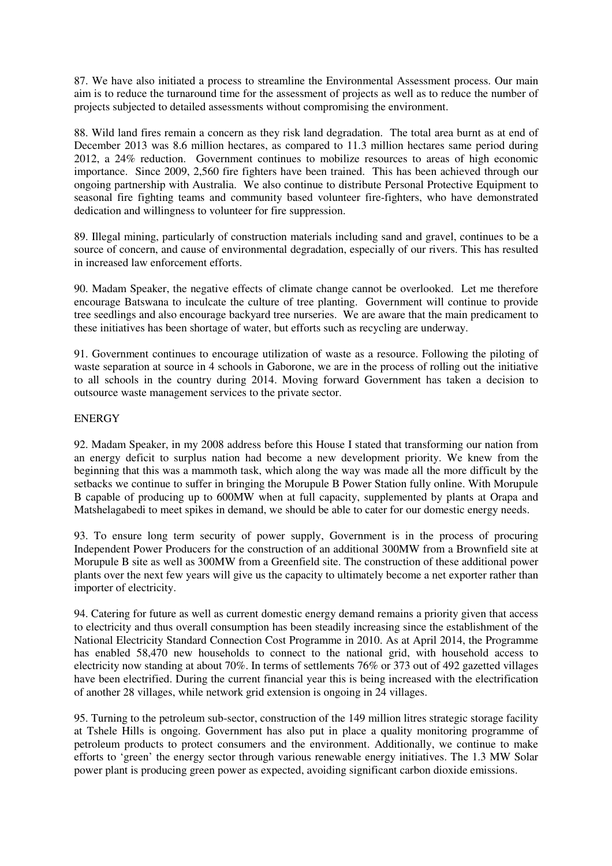87. We have also initiated a process to streamline the Environmental Assessment process. Our main aim is to reduce the turnaround time for the assessment of projects as well as to reduce the number of projects subjected to detailed assessments without compromising the environment.

88. Wild land fires remain a concern as they risk land degradation. The total area burnt as at end of December 2013 was 8.6 million hectares, as compared to 11.3 million hectares same period during 2012, a 24% reduction. Government continues to mobilize resources to areas of high economic importance. Since 2009, 2,560 fire fighters have been trained. This has been achieved through our ongoing partnership with Australia. We also continue to distribute Personal Protective Equipment to seasonal fire fighting teams and community based volunteer fire-fighters, who have demonstrated dedication and willingness to volunteer for fire suppression.

89. Illegal mining, particularly of construction materials including sand and gravel, continues to be a source of concern, and cause of environmental degradation, especially of our rivers. This has resulted in increased law enforcement efforts.

90. Madam Speaker, the negative effects of climate change cannot be overlooked. Let me therefore encourage Batswana to inculcate the culture of tree planting. Government will continue to provide tree seedlings and also encourage backyard tree nurseries. We are aware that the main predicament to these initiatives has been shortage of water, but efforts such as recycling are underway.

91. Government continues to encourage utilization of waste as a resource. Following the piloting of waste separation at source in 4 schools in Gaborone, we are in the process of rolling out the initiative to all schools in the country during 2014. Moving forward Government has taken a decision to outsource waste management services to the private sector.

### ENERGY

92. Madam Speaker, in my 2008 address before this House I stated that transforming our nation from an energy deficit to surplus nation had become a new development priority. We knew from the beginning that this was a mammoth task, which along the way was made all the more difficult by the setbacks we continue to suffer in bringing the Morupule B Power Station fully online. With Morupule B capable of producing up to 600MW when at full capacity, supplemented by plants at Orapa and Matshelagabedi to meet spikes in demand, we should be able to cater for our domestic energy needs.

93. To ensure long term security of power supply, Government is in the process of procuring Independent Power Producers for the construction of an additional 300MW from a Brownfield site at Morupule B site as well as 300MW from a Greenfield site. The construction of these additional power plants over the next few years will give us the capacity to ultimately become a net exporter rather than importer of electricity.

94. Catering for future as well as current domestic energy demand remains a priority given that access to electricity and thus overall consumption has been steadily increasing since the establishment of the National Electricity Standard Connection Cost Programme in 2010. As at April 2014, the Programme has enabled 58,470 new households to connect to the national grid, with household access to electricity now standing at about 70%. In terms of settlements 76% or 373 out of 492 gazetted villages have been electrified. During the current financial year this is being increased with the electrification of another 28 villages, while network grid extension is ongoing in 24 villages.

95. Turning to the petroleum sub-sector, construction of the 149 million litres strategic storage facility at Tshele Hills is ongoing. Government has also put in place a quality monitoring programme of petroleum products to protect consumers and the environment. Additionally, we continue to make efforts to 'green' the energy sector through various renewable energy initiatives. The 1.3 MW Solar power plant is producing green power as expected, avoiding significant carbon dioxide emissions.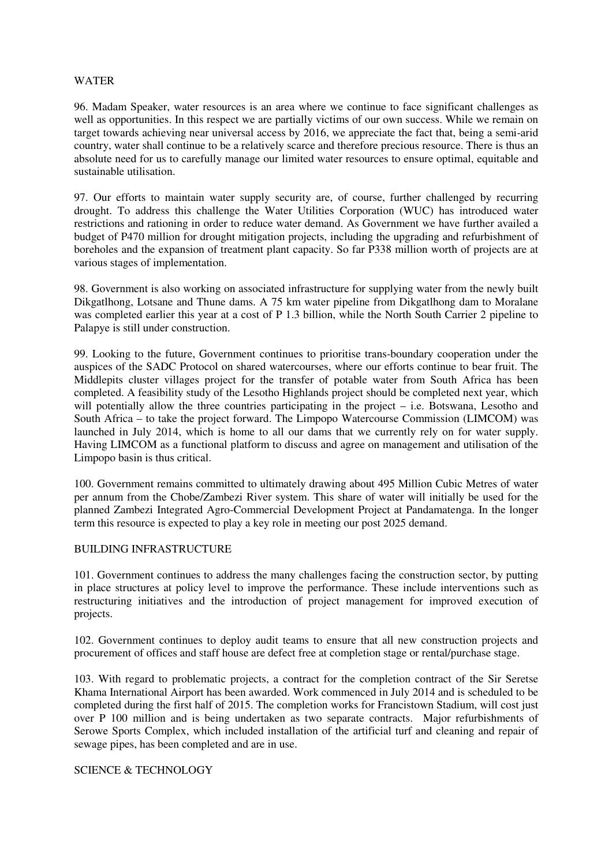### WATER

96. Madam Speaker, water resources is an area where we continue to face significant challenges as well as opportunities. In this respect we are partially victims of our own success. While we remain on target towards achieving near universal access by 2016, we appreciate the fact that, being a semi-arid country, water shall continue to be a relatively scarce and therefore precious resource. There is thus an absolute need for us to carefully manage our limited water resources to ensure optimal, equitable and sustainable utilisation.

97. Our efforts to maintain water supply security are, of course, further challenged by recurring drought. To address this challenge the Water Utilities Corporation (WUC) has introduced water restrictions and rationing in order to reduce water demand. As Government we have further availed a budget of P470 million for drought mitigation projects, including the upgrading and refurbishment of boreholes and the expansion of treatment plant capacity. So far P338 million worth of projects are at various stages of implementation.

98. Government is also working on associated infrastructure for supplying water from the newly built Dikgatlhong, Lotsane and Thune dams. A 75 km water pipeline from Dikgatlhong dam to Moralane was completed earlier this year at a cost of P 1.3 billion, while the North South Carrier 2 pipeline to Palapye is still under construction.

99. Looking to the future, Government continues to prioritise trans-boundary cooperation under the auspices of the SADC Protocol on shared watercourses, where our efforts continue to bear fruit. The Middlepits cluster villages project for the transfer of potable water from South Africa has been completed. A feasibility study of the Lesotho Highlands project should be completed next year, which will potentially allow the three countries participating in the project – i.e. Botswana, Lesotho and South Africa – to take the project forward. The Limpopo Watercourse Commission (LIMCOM) was launched in July 2014, which is home to all our dams that we currently rely on for water supply. Having LIMCOM as a functional platform to discuss and agree on management and utilisation of the Limpopo basin is thus critical.

100. Government remains committed to ultimately drawing about 495 Million Cubic Metres of water per annum from the Chobe/Zambezi River system. This share of water will initially be used for the planned Zambezi Integrated Agro-Commercial Development Project at Pandamatenga. In the longer term this resource is expected to play a key role in meeting our post 2025 demand.

#### BUILDING INFRASTRUCTURE

101. Government continues to address the many challenges facing the construction sector, by putting in place structures at policy level to improve the performance. These include interventions such as restructuring initiatives and the introduction of project management for improved execution of projects.

102. Government continues to deploy audit teams to ensure that all new construction projects and procurement of offices and staff house are defect free at completion stage or rental/purchase stage.

103. With regard to problematic projects, a contract for the completion contract of the Sir Seretse Khama International Airport has been awarded. Work commenced in July 2014 and is scheduled to be completed during the first half of 2015. The completion works for Francistown Stadium, will cost just over P 100 million and is being undertaken as two separate contracts. Major refurbishments of Serowe Sports Complex, which included installation of the artificial turf and cleaning and repair of sewage pipes, has been completed and are in use.

### SCIENCE & TECHNOLOGY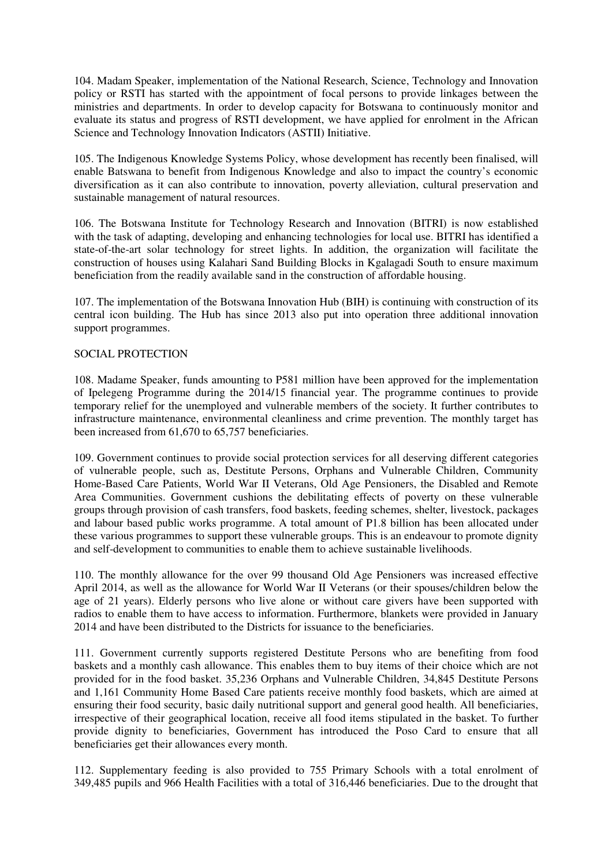104. Madam Speaker, implementation of the National Research, Science, Technology and Innovation policy or RSTI has started with the appointment of focal persons to provide linkages between the ministries and departments. In order to develop capacity for Botswana to continuously monitor and evaluate its status and progress of RSTI development, we have applied for enrolment in the African Science and Technology Innovation Indicators (ASTII) Initiative.

105. The Indigenous Knowledge Systems Policy, whose development has recently been finalised, will enable Batswana to benefit from Indigenous Knowledge and also to impact the country's economic diversification as it can also contribute to innovation, poverty alleviation, cultural preservation and sustainable management of natural resources.

106. The Botswana Institute for Technology Research and Innovation (BITRI) is now established with the task of adapting, developing and enhancing technologies for local use. BITRI has identified a state-of-the-art solar technology for street lights. In addition, the organization will facilitate the construction of houses using Kalahari Sand Building Blocks in Kgalagadi South to ensure maximum beneficiation from the readily available sand in the construction of affordable housing.

107. The implementation of the Botswana Innovation Hub (BIH) is continuing with construction of its central icon building. The Hub has since 2013 also put into operation three additional innovation support programmes.

### SOCIAL PROTECTION

108. Madame Speaker, funds amounting to P581 million have been approved for the implementation of Ipelegeng Programme during the 2014/15 financial year. The programme continues to provide temporary relief for the unemployed and vulnerable members of the society. It further contributes to infrastructure maintenance, environmental cleanliness and crime prevention. The monthly target has been increased from 61,670 to 65,757 beneficiaries.

109. Government continues to provide social protection services for all deserving different categories of vulnerable people, such as, Destitute Persons, Orphans and Vulnerable Children, Community Home-Based Care Patients, World War II Veterans, Old Age Pensioners, the Disabled and Remote Area Communities. Government cushions the debilitating effects of poverty on these vulnerable groups through provision of cash transfers, food baskets, feeding schemes, shelter, livestock, packages and labour based public works programme. A total amount of P1.8 billion has been allocated under these various programmes to support these vulnerable groups. This is an endeavour to promote dignity and self-development to communities to enable them to achieve sustainable livelihoods.

110. The monthly allowance for the over 99 thousand Old Age Pensioners was increased effective April 2014, as well as the allowance for World War II Veterans (or their spouses/children below the age of 21 years). Elderly persons who live alone or without care givers have been supported with radios to enable them to have access to information. Furthermore, blankets were provided in January 2014 and have been distributed to the Districts for issuance to the beneficiaries.

111. Government currently supports registered Destitute Persons who are benefiting from food baskets and a monthly cash allowance. This enables them to buy items of their choice which are not provided for in the food basket. 35,236 Orphans and Vulnerable Children, 34,845 Destitute Persons and 1,161 Community Home Based Care patients receive monthly food baskets, which are aimed at ensuring their food security, basic daily nutritional support and general good health. All beneficiaries, irrespective of their geographical location, receive all food items stipulated in the basket. To further provide dignity to beneficiaries, Government has introduced the Poso Card to ensure that all beneficiaries get their allowances every month.

112. Supplementary feeding is also provided to 755 Primary Schools with a total enrolment of 349,485 pupils and 966 Health Facilities with a total of 316,446 beneficiaries. Due to the drought that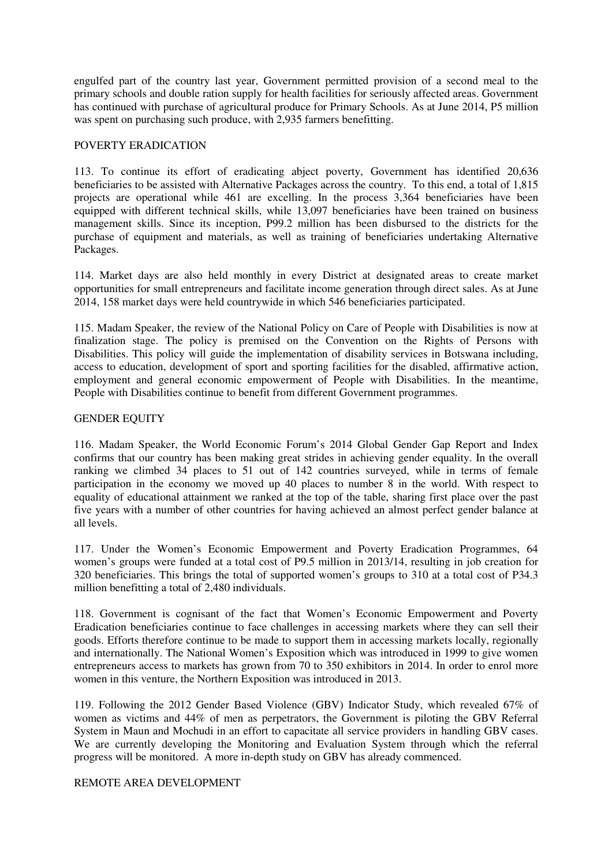engulfed part of the country last year, Government permitted provision of a second meal to the primary schools and double ration supply for health facilities for seriously affected areas. Government has continued with purchase of agricultural produce for Primary Schools. As at June 2014, P5 million was spent on purchasing such produce, with 2,935 farmers benefitting.

## POVERTY ERADICATION

113. To continue its effort of eradicating abject poverty, Government has identified 20,636 beneficiaries to be assisted with Alternative Packages across the country. To this end, a total of 1,815 projects are operational while 461 are excelling. In the process 3,364 beneficiaries have been equipped with different technical skills, while 13,097 beneficiaries have been trained on business management skills. Since its inception, P99.2 million has been disbursed to the districts for the purchase of equipment and materials, as well as training of beneficiaries undertaking Alternative Packages.

114. Market days are also held monthly in every District at designated areas to create market opportunities for small entrepreneurs and facilitate income generation through direct sales. As at June 2014, 158 market days were held countrywide in which 546 beneficiaries participated.

115. Madam Speaker, the review of the National Policy on Care of People with Disabilities is now at finalization stage. The policy is premised on the Convention on the Rights of Persons with Disabilities. This policy will guide the implementation of disability services in Botswana including, access to education, development of sport and sporting facilities for the disabled, affirmative action, employment and general economic empowerment of People with Disabilities. In the meantime, People with Disabilities continue to benefit from different Government programmes.

### GENDER EQUITY

116. Madam Speaker, the World Economic Forum's 2014 Global Gender Gap Report and Index confirms that our country has been making great strides in achieving gender equality. In the overall ranking we climbed 34 places to 51 out of 142 countries surveyed, while in terms of female participation in the economy we moved up 40 places to number 8 in the world. With respect to equality of educational attainment we ranked at the top of the table, sharing first place over the past five years with a number of other countries for having achieved an almost perfect gender balance at all levels.

117. Under the Women's Economic Empowerment and Poverty Eradication Programmes, 64 women's groups were funded at a total cost of P9.5 million in 2013/14, resulting in job creation for 320 beneficiaries. This brings the total of supported women's groups to 310 at a total cost of P34.3 million benefitting a total of 2,480 individuals.

118. Government is cognisant of the fact that Women's Economic Empowerment and Poverty Eradication beneficiaries continue to face challenges in accessing markets where they can sell their goods. Efforts therefore continue to be made to support them in accessing markets locally, regionally and internationally. The National Women's Exposition which was introduced in 1999 to give women entrepreneurs access to markets has grown from 70 to 350 exhibitors in 2014. In order to enrol more women in this venture, the Northern Exposition was introduced in 2013.

119. Following the 2012 Gender Based Violence (GBV) Indicator Study, which revealed 67% of women as victims and 44% of men as perpetrators, the Government is piloting the GBV Referral System in Maun and Mochudi in an effort to capacitate all service providers in handling GBV cases. We are currently developing the Monitoring and Evaluation System through which the referral progress will be monitored. A more in-depth study on GBV has already commenced.

## REMOTE AREA DEVELOPMENT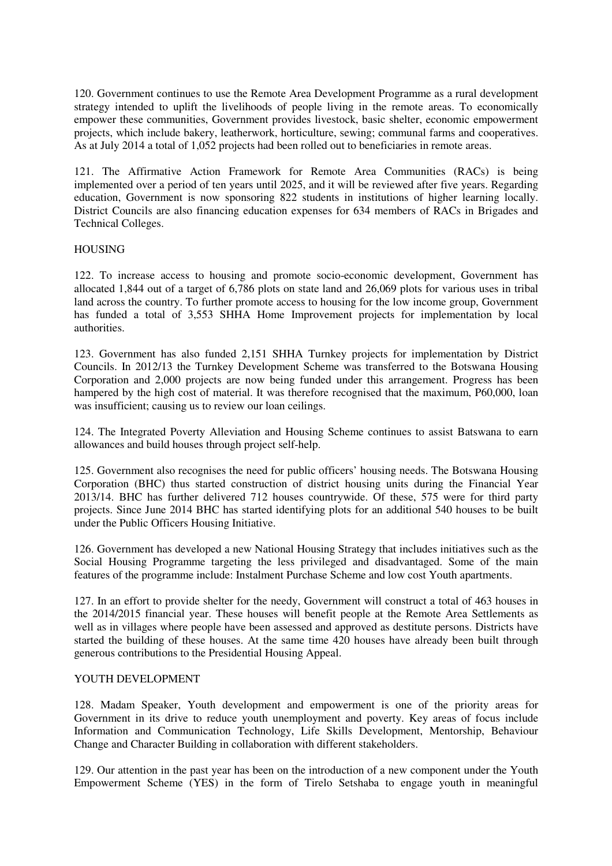120. Government continues to use the Remote Area Development Programme as a rural development strategy intended to uplift the livelihoods of people living in the remote areas. To economically empower these communities, Government provides livestock, basic shelter, economic empowerment projects, which include bakery, leatherwork, horticulture, sewing; communal farms and cooperatives. As at July 2014 a total of 1,052 projects had been rolled out to beneficiaries in remote areas.

121. The Affirmative Action Framework for Remote Area Communities (RACs) is being implemented over a period of ten years until 2025, and it will be reviewed after five years. Regarding education, Government is now sponsoring 822 students in institutions of higher learning locally. District Councils are also financing education expenses for 634 members of RACs in Brigades and Technical Colleges.

### HOUSING

122. To increase access to housing and promote socio-economic development, Government has allocated 1,844 out of a target of 6,786 plots on state land and 26,069 plots for various uses in tribal land across the country. To further promote access to housing for the low income group, Government has funded a total of 3,553 SHHA Home Improvement projects for implementation by local authorities.

123. Government has also funded 2,151 SHHA Turnkey projects for implementation by District Councils. In 2012/13 the Turnkey Development Scheme was transferred to the Botswana Housing Corporation and 2,000 projects are now being funded under this arrangement. Progress has been hampered by the high cost of material. It was therefore recognised that the maximum, P60,000, loan was insufficient; causing us to review our loan ceilings.

124. The Integrated Poverty Alleviation and Housing Scheme continues to assist Batswana to earn allowances and build houses through project self-help.

125. Government also recognises the need for public officers' housing needs. The Botswana Housing Corporation (BHC) thus started construction of district housing units during the Financial Year 2013/14. BHC has further delivered 712 houses countrywide. Of these, 575 were for third party projects. Since June 2014 BHC has started identifying plots for an additional 540 houses to be built under the Public Officers Housing Initiative.

126. Government has developed a new National Housing Strategy that includes initiatives such as the Social Housing Programme targeting the less privileged and disadvantaged. Some of the main features of the programme include: Instalment Purchase Scheme and low cost Youth apartments.

127. In an effort to provide shelter for the needy, Government will construct a total of 463 houses in the 2014/2015 financial year. These houses will benefit people at the Remote Area Settlements as well as in villages where people have been assessed and approved as destitute persons. Districts have started the building of these houses. At the same time 420 houses have already been built through generous contributions to the Presidential Housing Appeal.

### YOUTH DEVELOPMENT

128. Madam Speaker, Youth development and empowerment is one of the priority areas for Government in its drive to reduce youth unemployment and poverty. Key areas of focus include Information and Communication Technology, Life Skills Development, Mentorship, Behaviour Change and Character Building in collaboration with different stakeholders.

129. Our attention in the past year has been on the introduction of a new component under the Youth Empowerment Scheme (YES) in the form of Tirelo Setshaba to engage youth in meaningful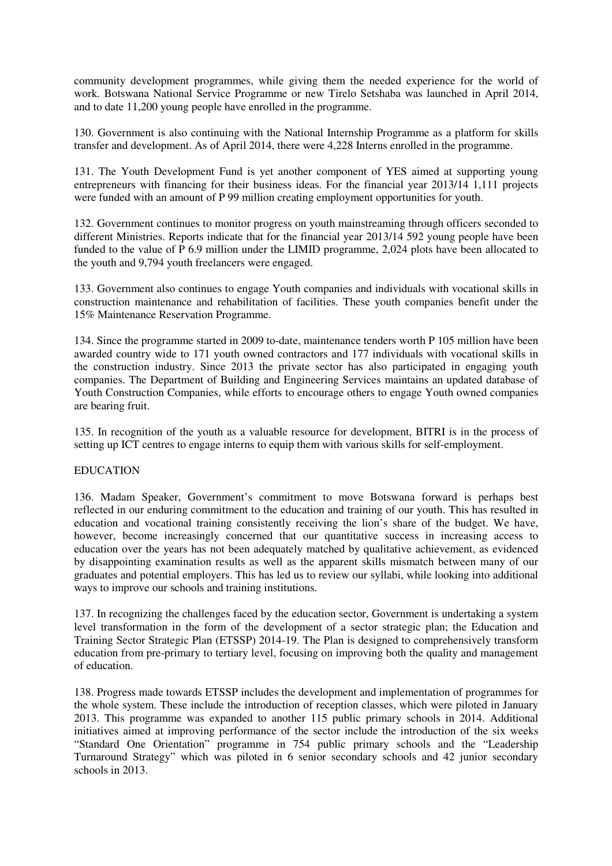community development programmes, while giving them the needed experience for the world of work. Botswana National Service Programme or new Tirelo Setshaba was launched in April 2014, and to date 11,200 young people have enrolled in the programme.

130. Government is also continuing with the National Internship Programme as a platform for skills transfer and development. As of April 2014, there were 4,228 Interns enrolled in the programme.

131. The Youth Development Fund is yet another component of YES aimed at supporting young entrepreneurs with financing for their business ideas. For the financial year 2013/14 1,111 projects were funded with an amount of P 99 million creating employment opportunities for youth.

132. Government continues to monitor progress on youth mainstreaming through officers seconded to different Ministries. Reports indicate that for the financial year 2013/14 592 young people have been funded to the value of P 6.9 million under the LIMID programme, 2,024 plots have been allocated to the youth and 9,794 youth freelancers were engaged.

133. Government also continues to engage Youth companies and individuals with vocational skills in construction maintenance and rehabilitation of facilities. These youth companies benefit under the 15% Maintenance Reservation Programme.

134. Since the programme started in 2009 to-date, maintenance tenders worth P 105 million have been awarded country wide to 171 youth owned contractors and 177 individuals with vocational skills in the construction industry. Since 2013 the private sector has also participated in engaging youth companies. The Department of Building and Engineering Services maintains an updated database of Youth Construction Companies, while efforts to encourage others to engage Youth owned companies are bearing fruit.

135. In recognition of the youth as a valuable resource for development, BITRI is in the process of setting up ICT centres to engage interns to equip them with various skills for self-employment.

### EDUCATION

136. Madam Speaker, Government's commitment to move Botswana forward is perhaps best reflected in our enduring commitment to the education and training of our youth. This has resulted in education and vocational training consistently receiving the lion's share of the budget. We have, however, become increasingly concerned that our quantitative success in increasing access to education over the years has not been adequately matched by qualitative achievement, as evidenced by disappointing examination results as well as the apparent skills mismatch between many of our graduates and potential employers. This has led us to review our syllabi, while looking into additional ways to improve our schools and training institutions.

137. In recognizing the challenges faced by the education sector, Government is undertaking a system level transformation in the form of the development of a sector strategic plan; the Education and Training Sector Strategic Plan (ETSSP) 2014-19. The Plan is designed to comprehensively transform education from pre-primary to tertiary level, focusing on improving both the quality and management of education.

138. Progress made towards ETSSP includes the development and implementation of programmes for the whole system. These include the introduction of reception classes, which were piloted in January 2013. This programme was expanded to another 115 public primary schools in 2014. Additional initiatives aimed at improving performance of the sector include the introduction of the six weeks "Standard One Orientation" programme in 754 public primary schools and the "Leadership Turnaround Strategy" which was piloted in 6 senior secondary schools and 42 junior secondary schools in 2013.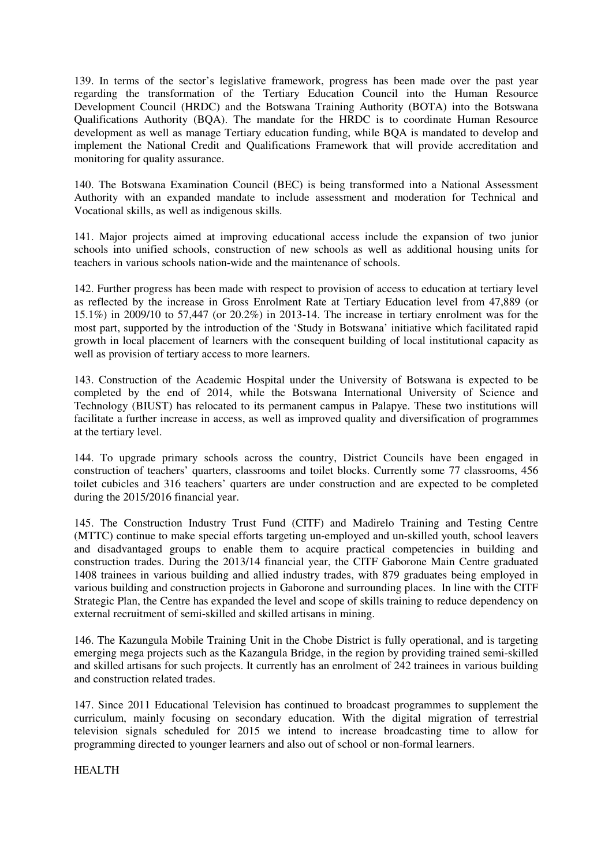139. In terms of the sector's legislative framework, progress has been made over the past year regarding the transformation of the Tertiary Education Council into the Human Resource Development Council (HRDC) and the Botswana Training Authority (BOTA) into the Botswana Qualifications Authority (BQA). The mandate for the HRDC is to coordinate Human Resource development as well as manage Tertiary education funding, while BQA is mandated to develop and implement the National Credit and Qualifications Framework that will provide accreditation and monitoring for quality assurance.

140. The Botswana Examination Council (BEC) is being transformed into a National Assessment Authority with an expanded mandate to include assessment and moderation for Technical and Vocational skills, as well as indigenous skills.

141. Major projects aimed at improving educational access include the expansion of two junior schools into unified schools, construction of new schools as well as additional housing units for teachers in various schools nation-wide and the maintenance of schools.

142. Further progress has been made with respect to provision of access to education at tertiary level as reflected by the increase in Gross Enrolment Rate at Tertiary Education level from 47,889 (or 15.1%) in 2009/10 to 57,447 (or 20.2%) in 2013-14. The increase in tertiary enrolment was for the most part, supported by the introduction of the 'Study in Botswana' initiative which facilitated rapid growth in local placement of learners with the consequent building of local institutional capacity as well as provision of tertiary access to more learners.

143. Construction of the Academic Hospital under the University of Botswana is expected to be completed by the end of 2014, while the Botswana International University of Science and Technology (BIUST) has relocated to its permanent campus in Palapye. These two institutions will facilitate a further increase in access, as well as improved quality and diversification of programmes at the tertiary level.

144. To upgrade primary schools across the country, District Councils have been engaged in construction of teachers' quarters, classrooms and toilet blocks. Currently some 77 classrooms, 456 toilet cubicles and 316 teachers' quarters are under construction and are expected to be completed during the 2015/2016 financial year.

145. The Construction Industry Trust Fund (CITF) and Madirelo Training and Testing Centre (MTTC) continue to make special efforts targeting un-employed and un-skilled youth, school leavers and disadvantaged groups to enable them to acquire practical competencies in building and construction trades. During the 2013/14 financial year, the CITF Gaborone Main Centre graduated 1408 trainees in various building and allied industry trades, with 879 graduates being employed in various building and construction projects in Gaborone and surrounding places. In line with the CITF Strategic Plan, the Centre has expanded the level and scope of skills training to reduce dependency on external recruitment of semi-skilled and skilled artisans in mining.

146. The Kazungula Mobile Training Unit in the Chobe District is fully operational, and is targeting emerging mega projects such as the Kazangula Bridge, in the region by providing trained semi-skilled and skilled artisans for such projects. It currently has an enrolment of 242 trainees in various building and construction related trades.

147. Since 2011 Educational Television has continued to broadcast programmes to supplement the curriculum, mainly focusing on secondary education. With the digital migration of terrestrial television signals scheduled for 2015 we intend to increase broadcasting time to allow for programming directed to younger learners and also out of school or non-formal learners.

HEALTH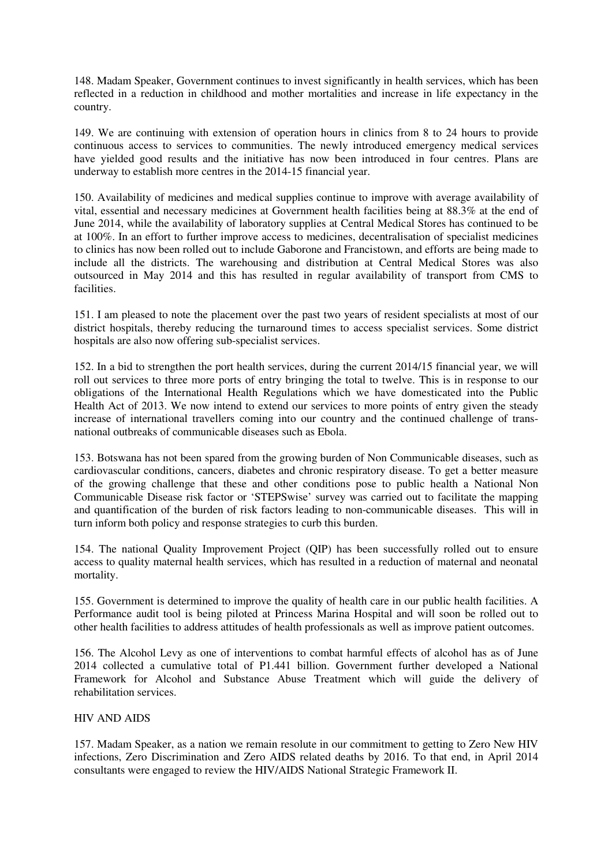148. Madam Speaker, Government continues to invest significantly in health services, which has been reflected in a reduction in childhood and mother mortalities and increase in life expectancy in the country.

149. We are continuing with extension of operation hours in clinics from 8 to 24 hours to provide continuous access to services to communities. The newly introduced emergency medical services have yielded good results and the initiative has now been introduced in four centres. Plans are underway to establish more centres in the 2014-15 financial year.

150. Availability of medicines and medical supplies continue to improve with average availability of vital, essential and necessary medicines at Government health facilities being at 88.3% at the end of June 2014, while the availability of laboratory supplies at Central Medical Stores has continued to be at 100%. In an effort to further improve access to medicines, decentralisation of specialist medicines to clinics has now been rolled out to include Gaborone and Francistown, and efforts are being made to include all the districts. The warehousing and distribution at Central Medical Stores was also outsourced in May 2014 and this has resulted in regular availability of transport from CMS to facilities.

151. I am pleased to note the placement over the past two years of resident specialists at most of our district hospitals, thereby reducing the turnaround times to access specialist services. Some district hospitals are also now offering sub-specialist services.

152. In a bid to strengthen the port health services, during the current 2014/15 financial year, we will roll out services to three more ports of entry bringing the total to twelve. This is in response to our obligations of the International Health Regulations which we have domesticated into the Public Health Act of 2013. We now intend to extend our services to more points of entry given the steady increase of international travellers coming into our country and the continued challenge of transnational outbreaks of communicable diseases such as Ebola.

153. Botswana has not been spared from the growing burden of Non Communicable diseases, such as cardiovascular conditions, cancers, diabetes and chronic respiratory disease. To get a better measure of the growing challenge that these and other conditions pose to public health a National Non Communicable Disease risk factor or 'STEPSwise' survey was carried out to facilitate the mapping and quantification of the burden of risk factors leading to non-communicable diseases. This will in turn inform both policy and response strategies to curb this burden.

154. The national Quality Improvement Project (QIP) has been successfully rolled out to ensure access to quality maternal health services, which has resulted in a reduction of maternal and neonatal mortality.

155. Government is determined to improve the quality of health care in our public health facilities. A Performance audit tool is being piloted at Princess Marina Hospital and will soon be rolled out to other health facilities to address attitudes of health professionals as well as improve patient outcomes.

156. The Alcohol Levy as one of interventions to combat harmful effects of alcohol has as of June 2014 collected a cumulative total of P1.441 billion. Government further developed a National Framework for Alcohol and Substance Abuse Treatment which will guide the delivery of rehabilitation services.

### HIV AND AIDS

157. Madam Speaker, as a nation we remain resolute in our commitment to getting to Zero New HIV infections, Zero Discrimination and Zero AIDS related deaths by 2016. To that end, in April 2014 consultants were engaged to review the HIV/AIDS National Strategic Framework II.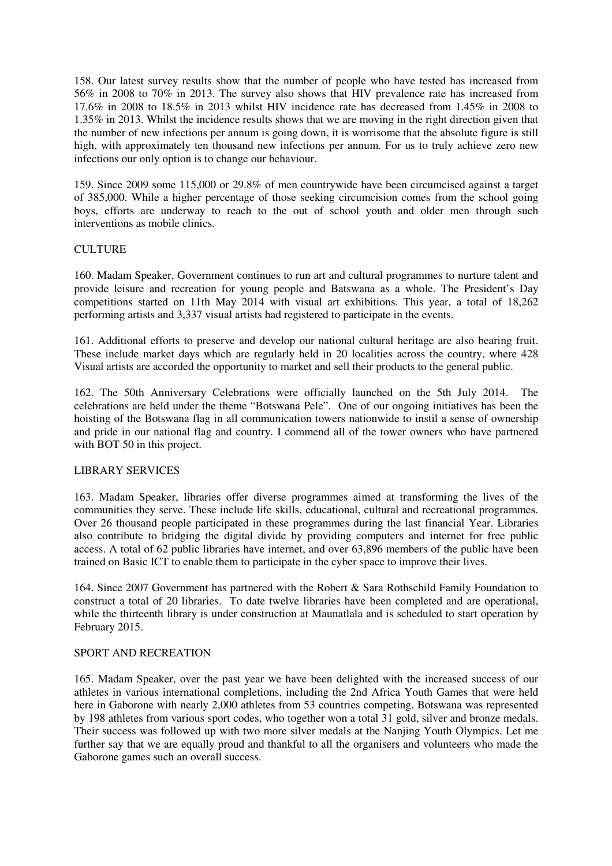158. Our latest survey results show that the number of people who have tested has increased from 56% in 2008 to 70% in 2013. The survey also shows that HIV prevalence rate has increased from 17.6% in 2008 to 18.5% in 2013 whilst HIV incidence rate has decreased from 1.45% in 2008 to 1.35% in 2013. Whilst the incidence results shows that we are moving in the right direction given that the number of new infections per annum is going down, it is worrisome that the absolute figure is still high, with approximately ten thousand new infections per annum. For us to truly achieve zero new infections our only option is to change our behaviour.

159. Since 2009 some 115,000 or 29.8% of men countrywide have been circumcised against a target of 385,000. While a higher percentage of those seeking circumcision comes from the school going boys, efforts are underway to reach to the out of school youth and older men through such interventions as mobile clinics.

### **CULTURE**

160. Madam Speaker, Government continues to run art and cultural programmes to nurture talent and provide leisure and recreation for young people and Batswana as a whole. The President's Day competitions started on 11th May 2014 with visual art exhibitions. This year, a total of 18,262 performing artists and 3,337 visual artists had registered to participate in the events.

161. Additional efforts to preserve and develop our national cultural heritage are also bearing fruit. These include market days which are regularly held in 20 localities across the country, where 428 Visual artists are accorded the opportunity to market and sell their products to the general public.

162. The 50th Anniversary Celebrations were officially launched on the 5th July 2014. The celebrations are held under the theme "Botswana Pele". One of our ongoing initiatives has been the hoisting of the Botswana flag in all communication towers nationwide to instil a sense of ownership and pride in our national flag and country. I commend all of the tower owners who have partnered with BOT 50 in this project.

### LIBRARY SERVICES

163. Madam Speaker, libraries offer diverse programmes aimed at transforming the lives of the communities they serve. These include life skills, educational, cultural and recreational programmes. Over 26 thousand people participated in these programmes during the last financial Year. Libraries also contribute to bridging the digital divide by providing computers and internet for free public access. A total of 62 public libraries have internet, and over 63,896 members of the public have been trained on Basic ICT to enable them to participate in the cyber space to improve their lives.

164. Since 2007 Government has partnered with the Robert & Sara Rothschild Family Foundation to construct a total of 20 libraries. To date twelve libraries have been completed and are operational, while the thirteenth library is under construction at Maunatlala and is scheduled to start operation by February 2015.

### SPORT AND RECREATION

165. Madam Speaker, over the past year we have been delighted with the increased success of our athletes in various international completions, including the 2nd Africa Youth Games that were held here in Gaborone with nearly 2,000 athletes from 53 countries competing. Botswana was represented by 198 athletes from various sport codes, who together won a total 31 gold, silver and bronze medals. Their success was followed up with two more silver medals at the Nanjing Youth Olympics. Let me further say that we are equally proud and thankful to all the organisers and volunteers who made the Gaborone games such an overall success.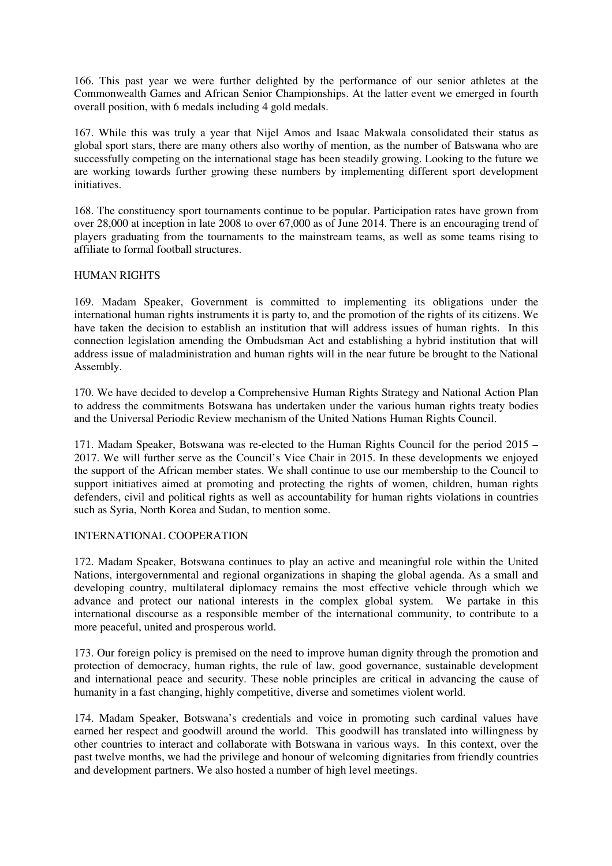166. This past year we were further delighted by the performance of our senior athletes at the Commonwealth Games and African Senior Championships. At the latter event we emerged in fourth overall position, with 6 medals including 4 gold medals.

167. While this was truly a year that Nijel Amos and Isaac Makwala consolidated their status as global sport stars, there are many others also worthy of mention, as the number of Batswana who are successfully competing on the international stage has been steadily growing. Looking to the future we are working towards further growing these numbers by implementing different sport development initiatives.

168. The constituency sport tournaments continue to be popular. Participation rates have grown from over 28,000 at inception in late 2008 to over 67,000 as of June 2014. There is an encouraging trend of players graduating from the tournaments to the mainstream teams, as well as some teams rising to affiliate to formal football structures.

### HUMAN RIGHTS

169. Madam Speaker, Government is committed to implementing its obligations under the international human rights instruments it is party to, and the promotion of the rights of its citizens. We have taken the decision to establish an institution that will address issues of human rights. In this connection legislation amending the Ombudsman Act and establishing a hybrid institution that will address issue of maladministration and human rights will in the near future be brought to the National Assembly.

170. We have decided to develop a Comprehensive Human Rights Strategy and National Action Plan to address the commitments Botswana has undertaken under the various human rights treaty bodies and the Universal Periodic Review mechanism of the United Nations Human Rights Council.

171. Madam Speaker, Botswana was re-elected to the Human Rights Council for the period 2015 – 2017. We will further serve as the Council's Vice Chair in 2015. In these developments we enjoyed the support of the African member states. We shall continue to use our membership to the Council to support initiatives aimed at promoting and protecting the rights of women, children, human rights defenders, civil and political rights as well as accountability for human rights violations in countries such as Syria, North Korea and Sudan, to mention some.

### INTERNATIONAL COOPERATION

172. Madam Speaker, Botswana continues to play an active and meaningful role within the United Nations, intergovernmental and regional organizations in shaping the global agenda. As a small and developing country, multilateral diplomacy remains the most effective vehicle through which we advance and protect our national interests in the complex global system. We partake in this international discourse as a responsible member of the international community, to contribute to a more peaceful, united and prosperous world.

173. Our foreign policy is premised on the need to improve human dignity through the promotion and protection of democracy, human rights, the rule of law, good governance, sustainable development and international peace and security. These noble principles are critical in advancing the cause of humanity in a fast changing, highly competitive, diverse and sometimes violent world.

174. Madam Speaker, Botswana's credentials and voice in promoting such cardinal values have earned her respect and goodwill around the world. This goodwill has translated into willingness by other countries to interact and collaborate with Botswana in various ways. In this context, over the past twelve months, we had the privilege and honour of welcoming dignitaries from friendly countries and development partners. We also hosted a number of high level meetings.